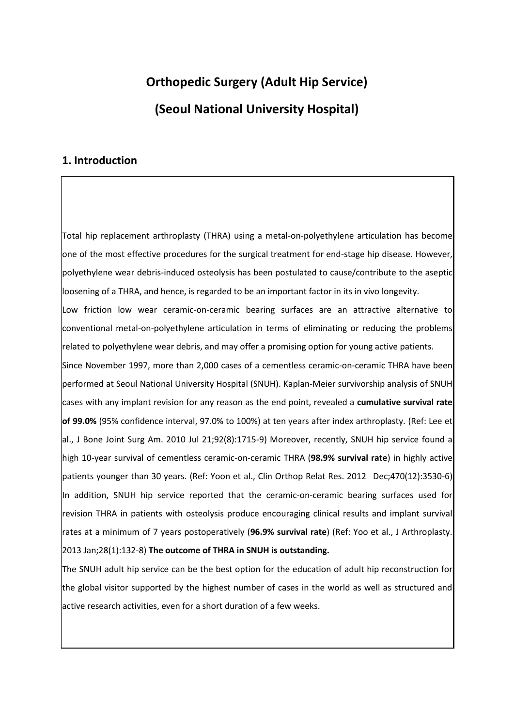# **Orthopedic Surgery (Adult Hip Service) (Seoul National University Hospital)**

### **1. Introduction**

Total hip replacement arthroplasty (THRA) using a metal-on-polyethylene articulation has become one of the most effective procedures for the surgical treatment for end-stage hip disease. However, polyethylene wear debris-induced osteolysis has been postulated to cause/contribute to the aseptic loosening of a THRA, and hence, is regarded to be an important factor in its in vivo longevity.

Low friction low wear ceramic-on-ceramic bearing surfaces are an attractive alternative to conventional metal-on-polyethylene articulation in terms of eliminating or reducing the problems related to polyethylene wear debris, and may offer a promising option for young active patients.

Since November 1997, more than 2,000 cases of a cementless ceramic-on-ceramic THRA have been performed at Seoul National University Hospital (SNUH). Kaplan-Meier survivorship analysis of SNUH cases with any implant revision for any reason as the end point, revealed a **cumulative survival rate of 99.0%** (95% confidence interval, 97.0% to 100%) at ten years after index arthroplasty. (Ref: Lee et al., J Bone Joint Surg Am. 2010 Jul 21;92(8):1715-9) Moreover, recently, SNUH hip service found a high 10-year survival of cementless ceramic-on-ceramic THRA (**98.9% survival rate**) in highly active patients younger than 30 years. (Ref: Yoon et al., Clin Orthop Relat Res. 2012 Dec;470(12):3530-6) In addition, SNUH hip service reported that the ceramic-on-ceramic bearing surfaces used for revision THRA in patients with osteolysis produce encouraging clinical results and implant survival rates at a minimum of 7 years postoperatively (**96.9% survival rate**) (Ref: Yoo et al., J Arthroplasty. 2013 Jan;28(1):132-8) **The outcome of THRA in SNUH is outstanding.** 

The SNUH adult hip service can be the best option for the education of adult hip reconstruction for the global visitor supported by the highest number of cases in the world as well as structured and active research activities, even for a short duration of a few weeks.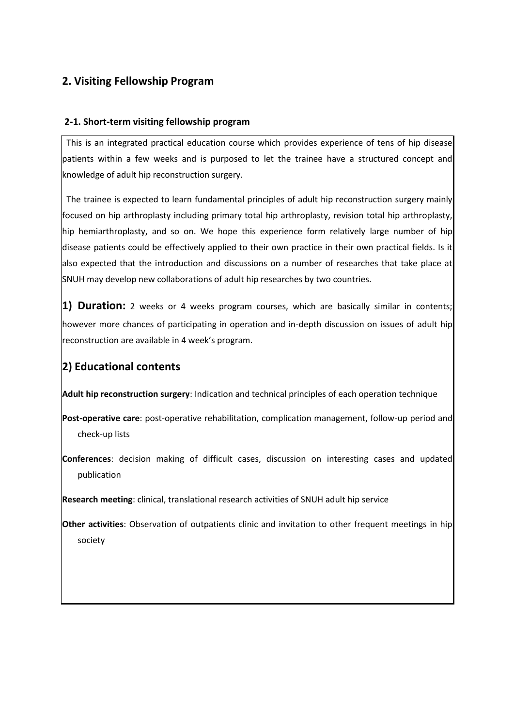## **2. Visiting Fellowship Program**

### **2-1. Short-term visiting fellowship program**

This is an integrated practical education course which provides experience of tens of hip disease patients within a few weeks and is purposed to let the trainee have a structured concept and knowledge of adult hip reconstruction surgery.

The trainee is expected to learn fundamental principles of adult hip reconstruction surgery mainly focused on hip arthroplasty including primary total hip arthroplasty, revision total hip arthroplasty, hip hemiarthroplasty, and so on. We hope this experience form relatively large number of hip disease patients could be effectively applied to their own practice in their own practical fields. Is it also expected that the introduction and discussions on a number of researches that take place at SNUH may develop new collaborations of adult hip researches by two countries.

**1) Duration:** 2 weeks or 4 weeks program courses, which are basically similar in contents; however more chances of participating in operation and in-depth discussion on issues of adult hip reconstruction are available in 4 week's program.

# **2) Educational contents**

**Adult hip reconstruction surgery**: Indication and technical principles of each operation technique

**Post-operative care**: post-operative rehabilitation, complication management, follow-up period and check-up lists

**Conferences**: decision making of difficult cases, discussion on interesting cases and updated publication

**Research meeting**: clinical, translational research activities of SNUH adult hip service

**Other activities**: Observation of outpatients clinic and invitation to other frequent meetings in hip society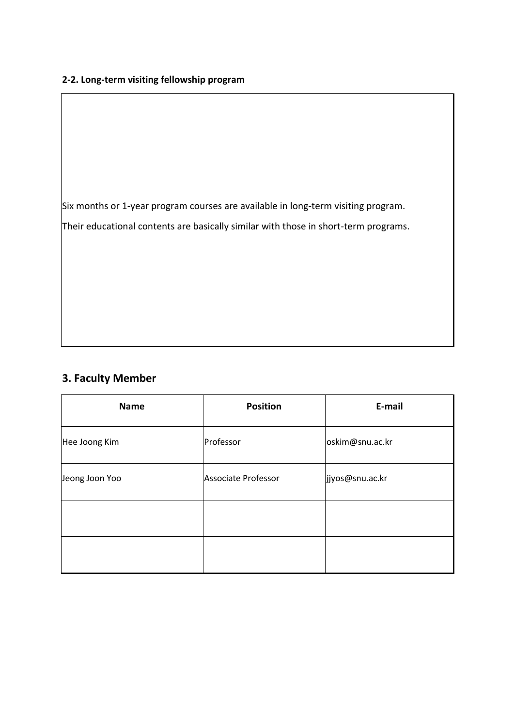### **2-2. Long-term visiting fellowship program**

Six months or 1-year program courses are available in long-term visiting program. Their educational contents are basically similar with those in short-term programs.

# **3. Faculty Member**

| <b>Name</b>    | <b>Position</b>     | E-mail          |
|----------------|---------------------|-----------------|
| Hee Joong Kim  | Professor           | oskim@snu.ac.kr |
| Jeong Joon Yoo | Associate Professor | jjyos@snu.ac.kr |
|                |                     |                 |
|                |                     |                 |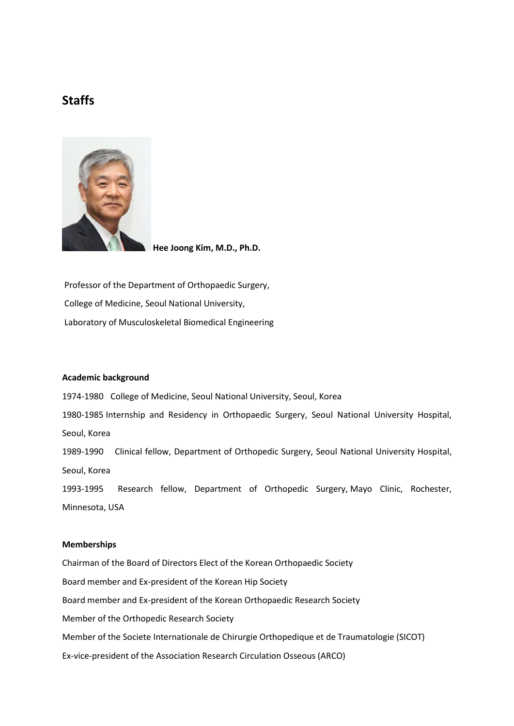## **Staffs**



**Hee Joong Kim, M.D., Ph.D.**

Professor of the Department of Orthopaedic Surgery, College of Medicine, Seoul National University, Laboratory of Musculoskeletal Biomedical Engineering

#### **Academic background**

1974-1980 College of Medicine, Seoul National University, Seoul, Korea 1980-1985 Internship and Residency in Orthopaedic Surgery, Seoul National University Hospital, Seoul, Korea 1989-1990 Clinical fellow, Department of Orthopedic Surgery, Seoul National University Hospital, Seoul, Korea 1993-1995 Research fellow, Department of Orthopedic Surgery, Mayo Clinic, Rochester, Minnesota, USA

#### **Memberships**

Chairman of the Board of Directors Elect of the Korean Orthopaedic Society Board member and Ex-president of the Korean Hip Society Board member and Ex-president of the Korean Orthopaedic Research Society Member of the Orthopedic Research Society Member of the Societe Internationale de Chirurgie Orthopedique et de Traumatologie (SICOT) Ex-vice-president of the Association Research Circulation Osseous (ARCO)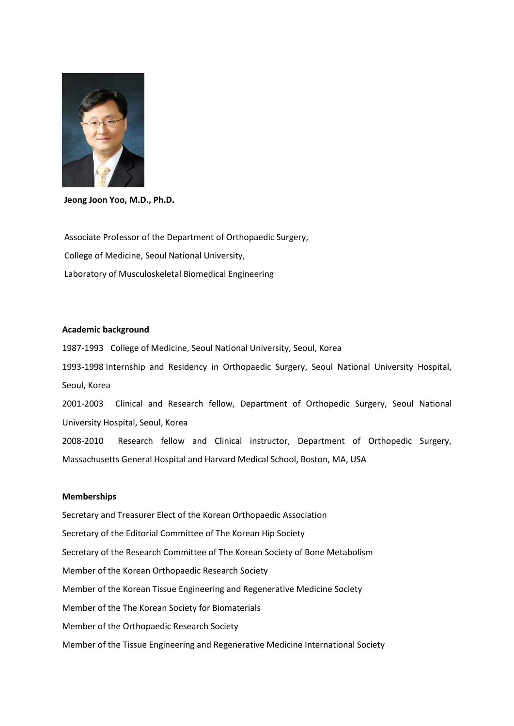

**Jeong Joon Yoo, M.D., Ph.D.**

Associate Professor of the Department of Orthopaedic Surgery, College of Medicine, Seoul National University, Laboratory of Musculoskeletal Biomedical Engineering

#### **Academic background**

1987-1993 College of Medicine, Seoul National University, Seoul, Korea 1993-1998 Internship and Residency in Orthopaedic Surgery, Seoul National University Hospital, Seoul, Korea 2001-2003 Clinical and Research fellow, Department of Orthopedic Surgery, Seoul National University Hospital, Seoul, Korea 2008-2010 Research fellow and Clinical instructor, Department of Orthopedic Surgery, Massachusetts General Hospital and Harvard Medical School, Boston, MA, USA

#### **Memberships**

Secretary and Treasurer Elect of the Korean Orthopaedic Association Secretary of the Editorial Committee of The Korean Hip Society Secretary of the Research Committee of The Korean Society of Bone Metabolism Member of the Korean Orthopaedic Research Society Member of the Korean Tissue Engineering and Regenerative Medicine Society Member of the The Korean Society for Biomaterials Member of the Orthopaedic Research Society Member of the Tissue Engineering and Regenerative Medicine International Society